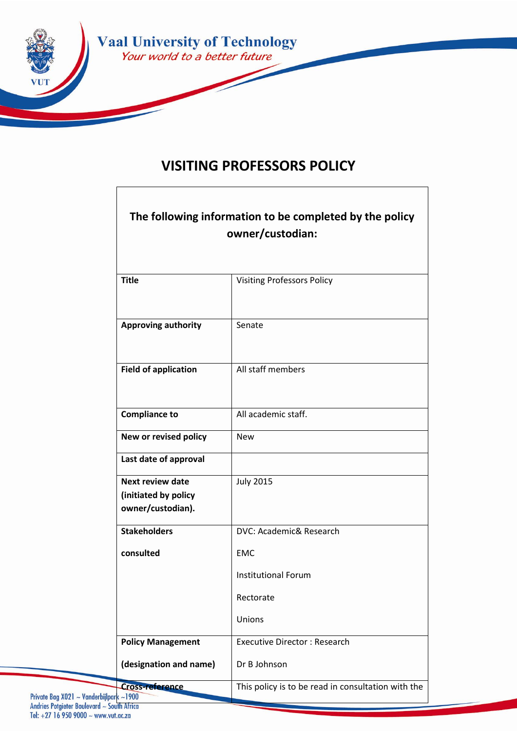

# **VISITING PROFESSORS POLICY**

| The following information to be completed by the policy<br>owner/custodian: |                                                    |
|-----------------------------------------------------------------------------|----------------------------------------------------|
| <b>Title</b>                                                                | <b>Visiting Professors Policy</b>                  |
| <b>Approving authority</b>                                                  | Senate                                             |
| <b>Field of application</b>                                                 | All staff members                                  |
| <b>Compliance to</b>                                                        | All academic staff.                                |
| New or revised policy                                                       | <b>New</b>                                         |
| Last date of approval                                                       |                                                    |
| <b>Next review date</b><br>(initiated by policy<br>owner/custodian).        | <b>July 2015</b>                                   |
| <b>Stakeholders</b>                                                         | DVC: Academic& Research                            |
| consulted                                                                   | <b>EMC</b>                                         |
|                                                                             | <b>Institutional Forum</b>                         |
|                                                                             | Rectorate                                          |
|                                                                             | Unions                                             |
| <b>Policy Management</b>                                                    | <b>Executive Director: Research</b>                |
| (designation and name)                                                      | Dr B Johnson                                       |
| <b>Cross-reference</b><br><b>ilpark ~1900</b>                               | This policy is to be read in consultation with the |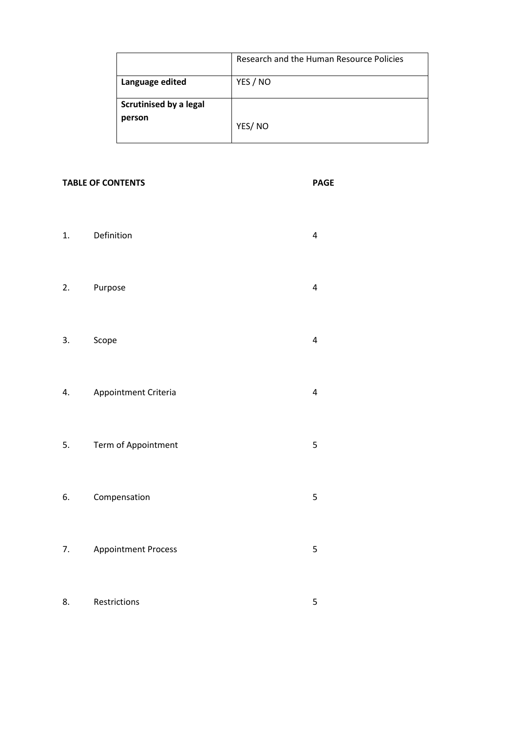|                               | Research and the Human Resource Policies |
|-------------------------------|------------------------------------------|
| Language edited               | YES / NO                                 |
| <b>Scrutinised by a legal</b> |                                          |
| person                        | YES/NO                                   |

#### **TABLE OF CONTENTS PAGE**

- 1. Definition 4 2. Purpose 4
- 3. Scope 4
- 4. Appointment Criteria 4
- 5. Term of Appointment 5
- 6. Compensation 5
- 7. Appointment Process 5
- 8. Restrictions 5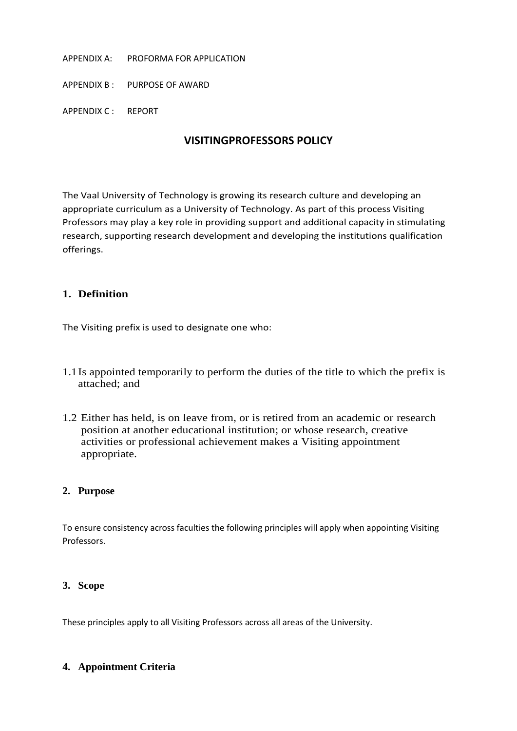#### APPENDIX A: PROFORMA FOR APPLICATION

APPENDIX B : PURPOSE OF AWARD

APPENDIX C : REPORT

# **VISITINGPROFESSORS POLICY**

The Vaal University of Technology is growing its research culture and developing an appropriate curriculum as a University of Technology. As part of this process Visiting Professors may play a key role in providing support and additional capacity in stimulating research, supporting research development and developing the institutions qualification offerings.

# **1. Definition**

The Visiting prefix is used to designate one who:

- 1.1Is appointed temporarily to perform the duties of the title to which the prefix is attached; and
- 1.2 Either has held, is on leave from, or is retired from an academic or research position at another educational institution; or whose research, creative activities or professional achievement makes a Visiting appointment appropriate.

#### **2. Purpose**

To ensure consistency across faculties the following principles will apply when appointing Visiting Professors.

#### **3. Scope**

These principles apply to all Visiting Professors across all areas of the University.

#### **4. Appointment Criteria**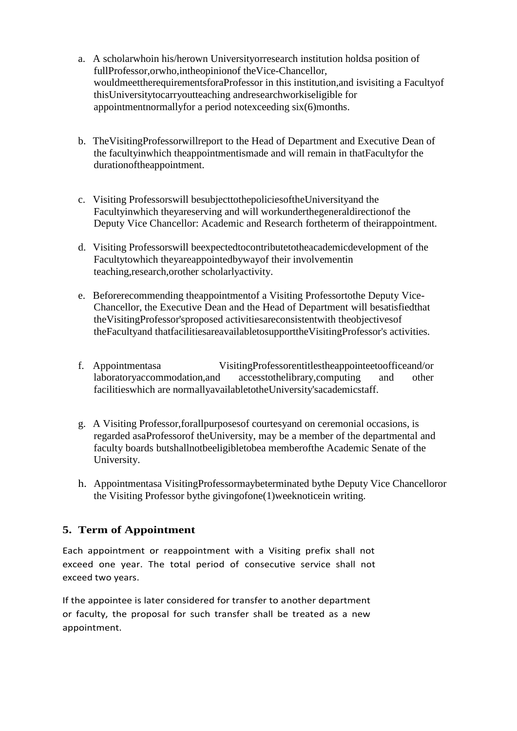- a. A scholarwhoin his/herown Universityorresearch institution holdsa position of fullProfessor,orwho,intheopinionof theVice-Chancellor, wouldmeettherequirementsforaProfessor in this institution,and isvisiting a Facultyof thisUniversitytocarryoutteaching andresearchworkiseligible for appointmentnormallyfor a period notexceeding six(6)months.
- b. TheVisitingProfessorwillreport to the Head of Department and Executive Dean of the facultyinwhich theappointmentismade and will remain in thatFacultyfor the durationoftheappointment.
- c. Visiting Professorswill besubjecttothepoliciesoftheUniversityand the Facultyinwhich theyareserving and will workunderthegeneraldirectionof the Deputy Vice Chancellor: Academic and Research fortheterm of theirappointment.
- d. Visiting Professorswill beexpectedtocontributetotheacademicdevelopment of the Facultytowhich theyareappointedbywayof their involvementin teaching,research,orother scholarlyactivity.
- e. Beforerecommending theappointmentof a Visiting Professortothe Deputy Vice-Chancellor, the Executive Dean and the Head of Department will besatisfiedthat theVisitingProfessor'sproposed activitiesareconsistentwith theobjectivesof theFacultyand thatfacilitiesareavailabletosupporttheVisitingProfessor's activities.
- f. Appointmentasa VisitingProfessorentitlestheappointeetoofficeand/or laboratoryaccommodation,and accesstothelibrary,computing and other facilitieswhich are normallyavailabletotheUniversity'sacademicstaff.
- g. A Visiting Professor,forallpurposesof courtesyand on ceremonial occasions, is regarded asaProfessorof theUniversity, may be a member of the departmental and faculty boards butshallnotbeeligibletobea memberofthe Academic Senate of the University.
- h. Appointmentasa VisitingProfessormaybeterminated bythe Deputy Vice Chancelloror the Visiting Professor bythe givingofone(1)weeknoticein writing.

# **5. Term of Appointment**

Each appointment or reappointment with a Visiting prefix shall not exceed one year. The total period of consecutive service shall not exceed two years.

If the appointee is later considered for transfer to another department or faculty, the proposal for such transfer shall be treated as a new appointment.